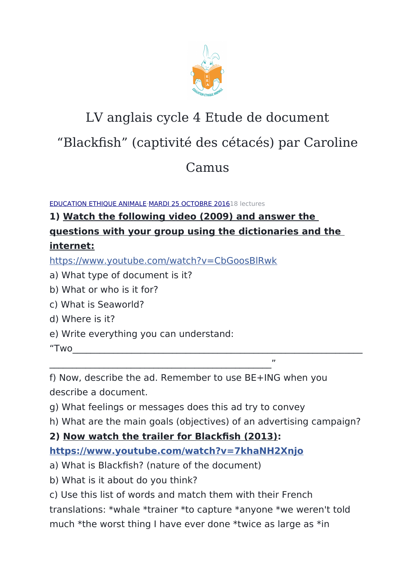

# LV anglais cycle 4 Etude de document

## "Blackfish" (captivité des cétacés) par Caroline

### Camus

[EDUCATION ETHIQUE ANIMALE](https://www.facebook.com/Education-Ethique-Animale-1640839852894302/)[·MARDI 25 OCTOBRE 20161](https://www.facebook.com/notes/education-ethique-animale/lv-anglais-cycle-4-etude-de-document-blackfish-captivit%C3%A9-des-c%C3%A9tac%C3%A9s-par-carolin/1658959194415701)8 lectures

### **1) Watch the following video (2009) and answer the questions with your group using the dictionaries and the internet:**

[https://www.youtube.com/watch?v=CbGoosBlRwk](https://l.facebook.com/l.php?u=https%3A%2F%2Fwww.youtube.com%2Fwatch%3Fv%3DCbGoosBlRwk&h=ATO_UhS6kDAN6ph-SSJslqZ7Si0WgrVWnLPMmIRmSABJR2_b-eil3hn7PNJLAVGI5OXGPvz8sp-JK3WagSbm6OP8p08M-jJPAVYYqng_SFj4xtqZLmk7RKWntXvSNIz7Dp94Zg&s=1)

- a) What type of document is it?
- b) What or who is it for?
- c) What is Seaworld?
- d) Where is it?
- e) Write everything you can understand:
- "Two $\qquad \qquad \qquad \qquad \qquad \qquad \qquad$

f) Now, describe the ad. Remember to use BE+ING when you describe a document.

- g) What feelings or messages does this ad try to convey
- h) What are the main goals (objectives) of an advertising campaign?

**2) Now watch the trailer for Blackfsh (2013):**

 $\overline{\phantom{a}}$ 

#### **[https://www.youtube.com/watch?v=7khaNH2Xnjo](https://l.facebook.com/l.php?u=https%3A%2F%2Fwww.youtube.com%2Fwatch%3Fv%3D7khaNH2Xnjo&h=ATP52rhUt5FPQjcKAH0sUcV4vw3OdC194rjSCca2GEh8vBTdlNFv8tbP2w5e-dW3LTxFBaz8aTlcam0vR8Crrey2ANJ2odX6Yv-ofrzK_V931_WhvjEvHVwAxon2mdagnYIzpg&s=1)**

- a) What is Blackfish? (nature of the document)
- b) What is it about do you think?
- c) Use this list of words and match them with their French

translations: \*whale \*trainer \*to capture \*anyone \*we weren't told

much \*the worst thing I have ever done \*twice as large as \*in